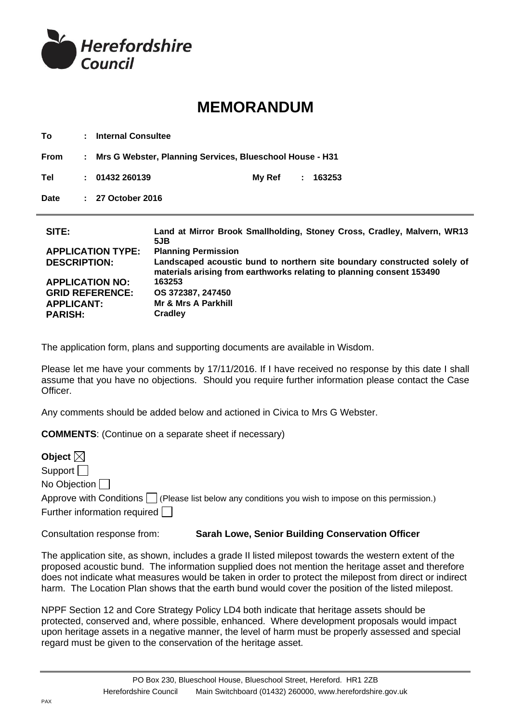

## **MEMORANDUM**

**To : Internal Consultee From : Mrs G Webster, Planning Services, Blueschool House - H31 Tel : 01432 260139 My Ref : 163253 Date : 27 October 2016 SITE: Land at Mirror Brook Smallholding, Stoney Cross, Cradley, Malvern, WR13 5JB APPLICATION TYPE: Planning Permission DESCRIPTION: Landscaped acoustic bund to northern site boundary constructed solely of materials arising from earthworks relating to planning consent 153490** 

**APPLICATION NO: 163253 GRID REFERENCE: OS 372387, 247450 APPLICANT: PARISH: Mr & Mrs A Parkhill Cradley**

The application form, plans and supporting documents are available in Wisdom.

Please let me have your comments by 17/11/2016. If I have received no response by this date I shall assume that you have no objections. Should you require further information please contact the Case Officer.

Any comments should be added below and actioned in Civica to Mrs G Webster.

**COMMENTS**: (Continue on a separate sheet if necessary)

| Object $\boxtimes$                                                                                       |
|----------------------------------------------------------------------------------------------------------|
| Support $  \cdot  $                                                                                      |
| No Objection $\Box$                                                                                      |
| Approve with Conditions $\Box$ (Please list below any conditions you wish to impose on this permission.) |
| Further information required                                                                             |
|                                                                                                          |

Consultation response from: **Sarah Lowe, Senior Building Conservation Officer**

The application site, as shown, includes a grade II listed milepost towards the western extent of the proposed acoustic bund. The information supplied does not mention the heritage asset and therefore does not indicate what measures would be taken in order to protect the milepost from direct or indirect harm. The Location Plan shows that the earth bund would cover the position of the listed milepost.

NPPF Section 12 and Core Strategy Policy LD4 both indicate that heritage assets should be protected, conserved and, where possible, enhanced. Where development proposals would impact upon heritage assets in a negative manner, the level of harm must be properly assessed and special regard must be given to the conservation of the heritage asset.